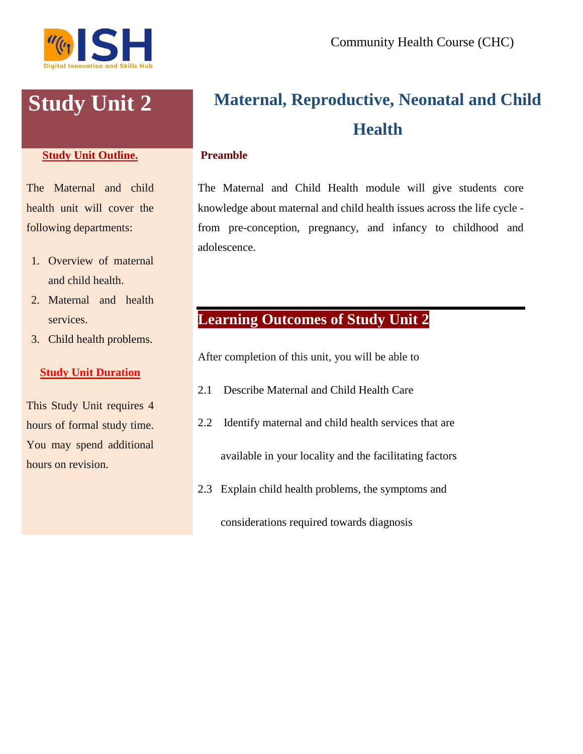

# **Study Unit Outline.**

The Maternal and child health unit will cover the following departments:

- 1. Overview of maternal and child health.
- 2. Maternal and health services.
- 3. Child health problems.

# **Study Unit Duration**

This Study Unit requires 4 hours of formal study time. You may spend additional hours on revision.

# **Study Unit 2 Maternal, Reproductive, Neonatal and Child Health**

#### **Preamble**

The Maternal and Child Health module will give students core knowledge about maternal and child health issues across the life cycle from pre-conception, pregnancy, and infancy to childhood and adolescence.

# **Learning Outcomes of Study Unit 2**

After completion of this unit, you will be able to

- 2.1 Describe Maternal and Child Health Care
- 2.2 Identify maternal and child health services that are available in your locality and the facilitating factors
- 2.3 Explain child health problems, the symptoms and

considerations required towards diagnosis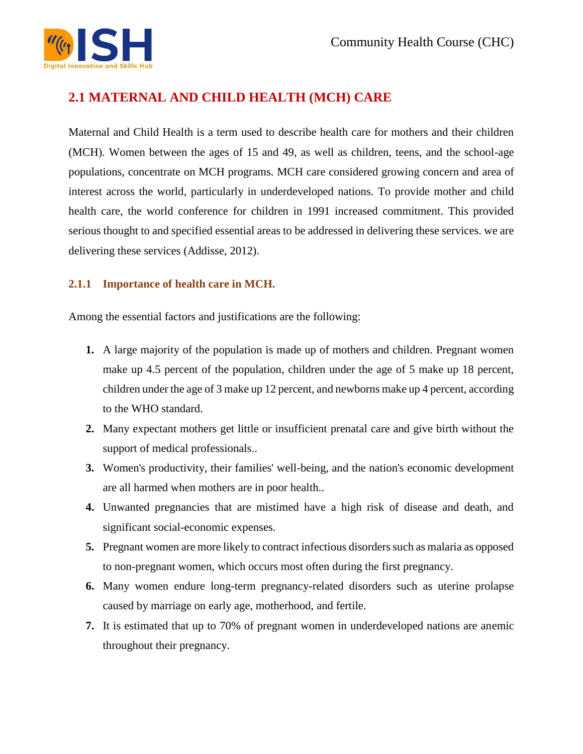

# **2.1 MATERNAL AND CHILD HEALTH (MCH) CARE**

Maternal and Child Health is a term used to describe health care for mothers and their children (MCH). Women between the ages of 15 and 49, as well as children, teens, and the school-age populations, concentrate on MCH programs. MCH care considered growing concern and area of interest across the world, particularly in underdeveloped nations. To provide mother and child health care, the world conference for children in 1991 increased commitment. This provided serious thought to and specified essential areas to be addressed in delivering these services. we are delivering these services (Addisse, 2012).

# **2.1.1 Importance of health care in MCH.**

Among the essential factors and justifications are the following:

- **1.** A large majority of the population is made up of mothers and children. Pregnant women make up 4.5 percent of the population, children under the age of 5 make up 18 percent, children under the age of 3 make up 12 percent, and newborns make up 4 percent, according to the WHO standard.
- **2.** Many expectant mothers get little or insufficient prenatal care and give birth without the support of medical professionals..
- **3.** Women's productivity, their families' well-being, and the nation's economic development are all harmed when mothers are in poor health..
- **4.** Unwanted pregnancies that are mistimed have a high risk of disease and death, and significant social-economic expenses.
- **5.** Pregnant women are more likely to contract infectious disorders such as malaria as opposed to non-pregnant women, which occurs most often during the first pregnancy.
- **6.** Many women endure long-term pregnancy-related disorders such as uterine prolapse caused by marriage on early age, motherhood, and fertile.
- **7.** It is estimated that up to 70% of pregnant women in underdeveloped nations are anemic throughout their pregnancy.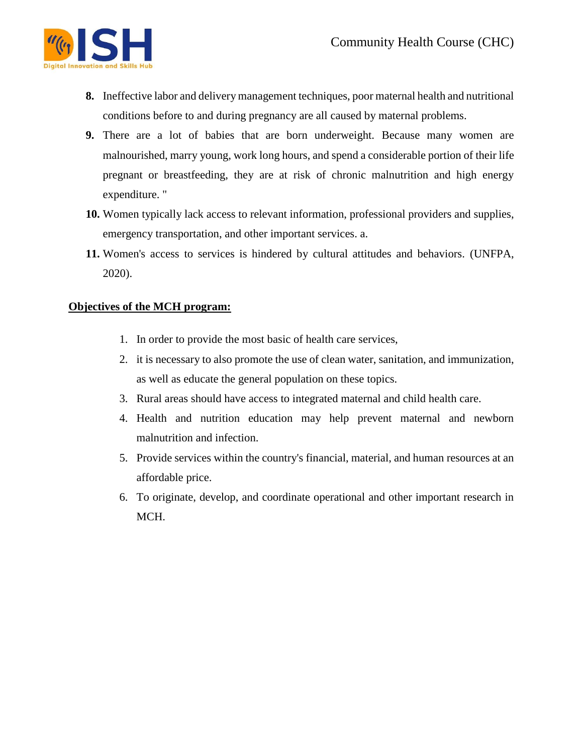

- **8.** Ineffective labor and delivery management techniques, poor maternal health and nutritional conditions before to and during pregnancy are all caused by maternal problems.
- **9.** There are a lot of babies that are born underweight. Because many women are malnourished, marry young, work long hours, and spend a considerable portion of their life pregnant or breastfeeding, they are at risk of chronic malnutrition and high energy expenditure. "
- **10.** Women typically lack access to relevant information, professional providers and supplies, emergency transportation, and other important services. a.
- **11.** Women's access to services is hindered by cultural attitudes and behaviors. (UNFPA, 2020).

# **Objectives of the MCH program:**

- 1. In order to provide the most basic of health care services,
- 2. it is necessary to also promote the use of clean water, sanitation, and immunization, as well as educate the general population on these topics.
- 3. Rural areas should have access to integrated maternal and child health care.
- 4. Health and nutrition education may help prevent maternal and newborn malnutrition and infection.
- 5. Provide services within the country's financial, material, and human resources at an affordable price.
- 6. To originate, develop, and coordinate operational and other important research in MCH.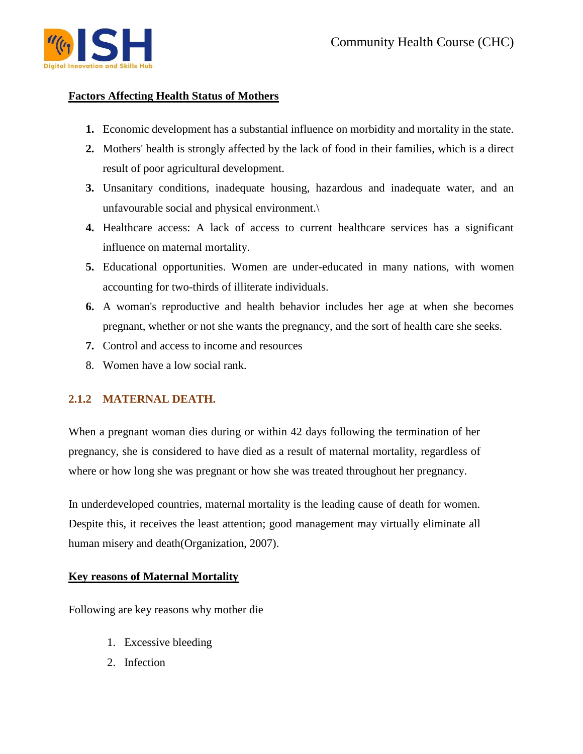

# **Factors Affecting Health Status of Mothers**

- **1.** Economic development has a substantial influence on morbidity and mortality in the state.
- **2.** Mothers' health is strongly affected by the lack of food in their families, which is a direct result of poor agricultural development.
- **3.** Unsanitary conditions, inadequate housing, hazardous and inadequate water, and an unfavourable social and physical environment.\
- **4.** Healthcare access: A lack of access to current healthcare services has a significant influence on maternal mortality.
- **5.** Educational opportunities. Women are under-educated in many nations, with women accounting for two-thirds of illiterate individuals.
- **6.** A woman's reproductive and health behavior includes her age at when she becomes pregnant, whether or not she wants the pregnancy, and the sort of health care she seeks.
- **7.** Control and access to income and resources
- 8. Women have a low social rank.

# **2.1.2 MATERNAL DEATH.**

When a pregnant woman dies during or within 42 days following the termination of her pregnancy, she is considered to have died as a result of maternal mortality, regardless of where or how long she was pregnant or how she was treated throughout her pregnancy.

In underdeveloped countries, maternal mortality is the leading cause of death for women. Despite this, it receives the least attention; good management may virtually eliminate all human misery and death(Organization, 2007).

# **Key reasons of Maternal Mortality**

Following are key reasons why mother die

- 1. Excessive bleeding
- 2. Infection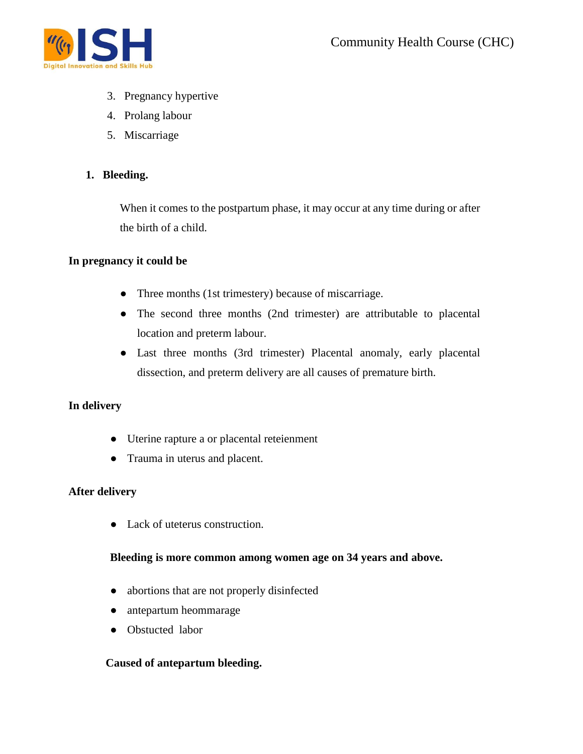

- 3. Pregnancy hypertive
- 4. Prolang labour
- 5. Miscarriage

# **1. Bleeding.**

When it comes to the postpartum phase, it may occur at any time during or after the birth of a child.

# **In pregnancy it could be**

- Three months (1st trimestery) because of miscarriage.
- The second three months (2nd trimester) are attributable to placental location and preterm labour.
- Last three months (3rd trimester) Placental anomaly, early placental dissection, and preterm delivery are all causes of premature birth.

# **In delivery**

- Uterine rapture a or placental reteienment
- Trauma in uterus and placent.

# **After delivery**

● Lack of uteterus construction.

# **Bleeding is more common among women age on 34 years and above.**

- abortions that are not properly disinfected
- antepartum heommarage
- Obstucted labor

# **Caused of antepartum bleeding.**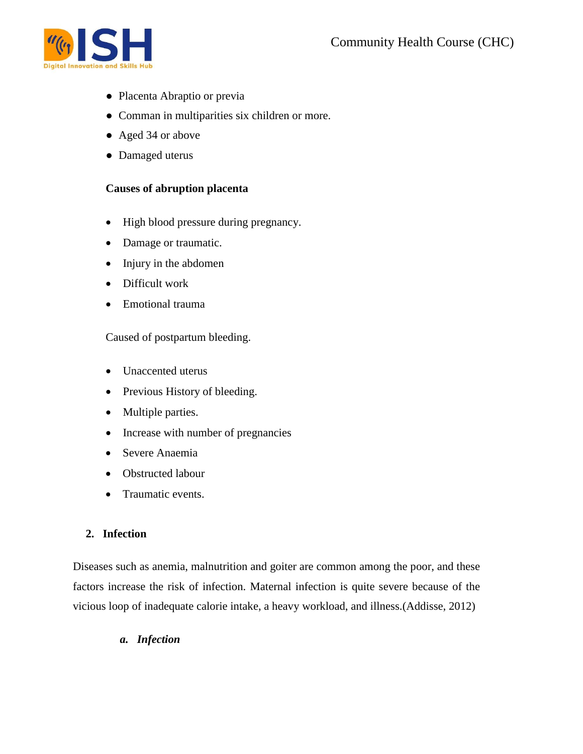

- Placenta Abraptio or previa
- Comman in multiparities six children or more.
- Aged 34 or above
- Damaged uterus

#### **Causes of abruption placenta**

- High blood pressure during pregnancy.
- Damage or traumatic.
- Injury in the abdomen
- Difficult work
- Emotional trauma

Caused of postpartum bleeding.

- Unaccented uterus
- Previous History of bleeding.
- Multiple parties.
- Increase with number of pregnancies
- Severe Anaemia
- Obstructed labour
- Traumatic events.

# **2. Infection**

Diseases such as anemia, malnutrition and goiter are common among the poor, and these factors increase the risk of infection. Maternal infection is quite severe because of the vicious loop of inadequate calorie intake, a heavy workload, and illness.(Addisse, 2012)

*a. Infection*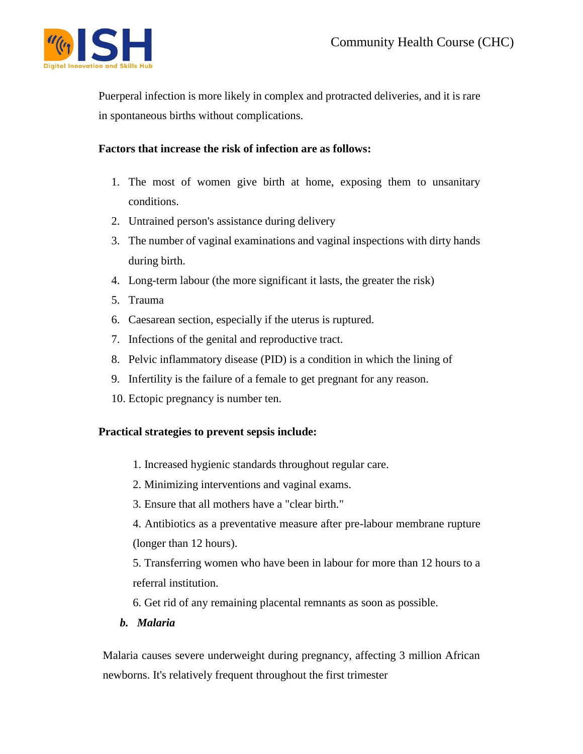

Puerperal infection is more likely in complex and protracted deliveries, and it is rare in spontaneous births without complications.

# **Factors that increase the risk of infection are as follows:**

- 1. The most of women give birth at home, exposing them to unsanitary conditions.
- 2. Untrained person's assistance during delivery
- 3. The number of vaginal examinations and vaginal inspections with dirty hands during birth.
- 4. Long-term labour (the more significant it lasts, the greater the risk)
- 5. Trauma
- 6. Caesarean section, especially if the uterus is ruptured.
- 7. Infections of the genital and reproductive tract.
- 8. Pelvic inflammatory disease (PID) is a condition in which the lining of
- 9. Infertility is the failure of a female to get pregnant for any reason.
- 10. Ectopic pregnancy is number ten.

# **Practical strategies to prevent sepsis include:**

- 1. Increased hygienic standards throughout regular care.
- 2. Minimizing interventions and vaginal exams.
- 3. Ensure that all mothers have a "clear birth."

4. Antibiotics as a preventative measure after pre-labour membrane rupture (longer than 12 hours).

5. Transferring women who have been in labour for more than 12 hours to a referral institution.

6. Get rid of any remaining placental remnants as soon as possible.

*b. Malaria*

Malaria causes severe underweight during pregnancy, affecting 3 million African newborns. It's relatively frequent throughout the first trimester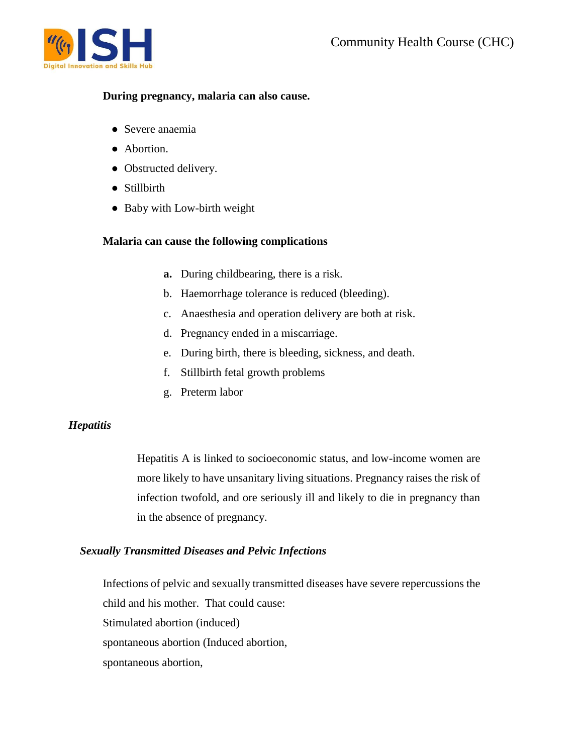

#### **During pregnancy, malaria can also cause.**

- Severe anaemia
- Abortion.
- Obstructed delivery.
- Stillbirth
- Baby with Low-birth weight

# **Malaria can cause the following complications**

- **a.** During childbearing, there is a risk.
- b. Haemorrhage tolerance is reduced (bleeding).
- c. Anaesthesia and operation delivery are both at risk.
- d. Pregnancy ended in a miscarriage.
- e. During birth, there is bleeding, sickness, and death.
- f. Stillbirth fetal growth problems
- g. Preterm labor

# *Hepatitis*

Hepatitis A is linked to socioeconomic status, and low-income women are more likely to have unsanitary living situations. Pregnancy raises the risk of infection twofold, and ore seriously ill and likely to die in pregnancy than in the absence of pregnancy.

# *Sexually Transmitted Diseases and Pelvic Infections*

Infections of pelvic and sexually transmitted diseases have severe repercussions the child and his mother. That could cause: Stimulated abortion (induced) spontaneous abortion (Induced abortion, spontaneous abortion,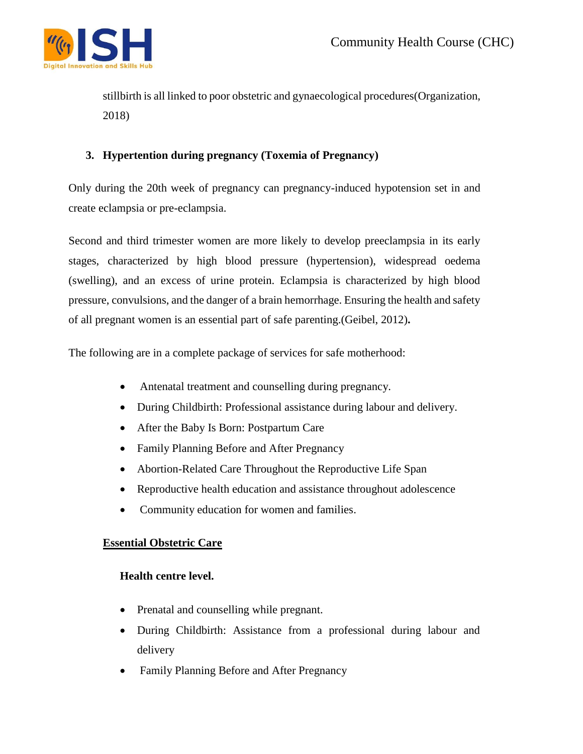

stillbirth is all linked to poor obstetric and gynaecological procedures(Organization, 2018)

# **3. Hypertention during pregnancy (Toxemia of Pregnancy)**

Only during the 20th week of pregnancy can pregnancy-induced hypotension set in and create eclampsia or pre-eclampsia.

Second and third trimester women are more likely to develop preeclampsia in its early stages, characterized by high blood pressure (hypertension), widespread oedema (swelling), and an excess of urine protein. Eclampsia is characterized by high blood pressure, convulsions, and the danger of a brain hemorrhage. Ensuring the health and safety of all pregnant women is an essential part of safe parenting.(Geibel, 2012)**.**

The following are in a complete package of services for safe motherhood:

- Antenatal treatment and counselling during pregnancy.
- During Childbirth: Professional assistance during labour and delivery.
- After the Baby Is Born: Postpartum Care
- Family Planning Before and After Pregnancy
- Abortion-Related Care Throughout the Reproductive Life Span
- Reproductive health education and assistance throughout adolescence
- Community education for women and families.

# **Essential Obstetric Care**

# **Health centre level.**

- Prenatal and counselling while pregnant.
- During Childbirth: Assistance from a professional during labour and delivery
- Family Planning Before and After Pregnancy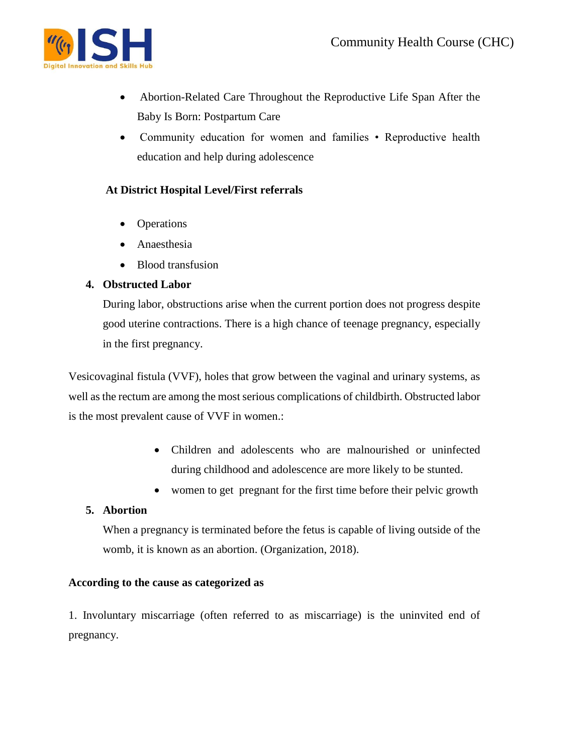

- Abortion-Related Care Throughout the Reproductive Life Span After the Baby Is Born: Postpartum Care
- Community education for women and families Reproductive health education and help during adolescence

# **At District Hospital Level/First referrals**

- Operations
- Anaesthesia
- Blood transfusion

# **4. Obstructed Labor**

During labor, obstructions arise when the current portion does not progress despite good uterine contractions. There is a high chance of teenage pregnancy, especially in the first pregnancy.

Vesicovaginal fistula (VVF), holes that grow between the vaginal and urinary systems, as well as the rectum are among the most serious complications of childbirth. Obstructed labor is the most prevalent cause of VVF in women.:

- Children and adolescents who are malnourished or uninfected during childhood and adolescence are more likely to be stunted.
- women to get pregnant for the first time before their pelvic growth

# **5. Abortion**

When a pregnancy is terminated before the fetus is capable of living outside of the womb, it is known as an abortion. (Organization, 2018).

# **According to the cause as categorized as**

1. Involuntary miscarriage (often referred to as miscarriage) is the uninvited end of pregnancy.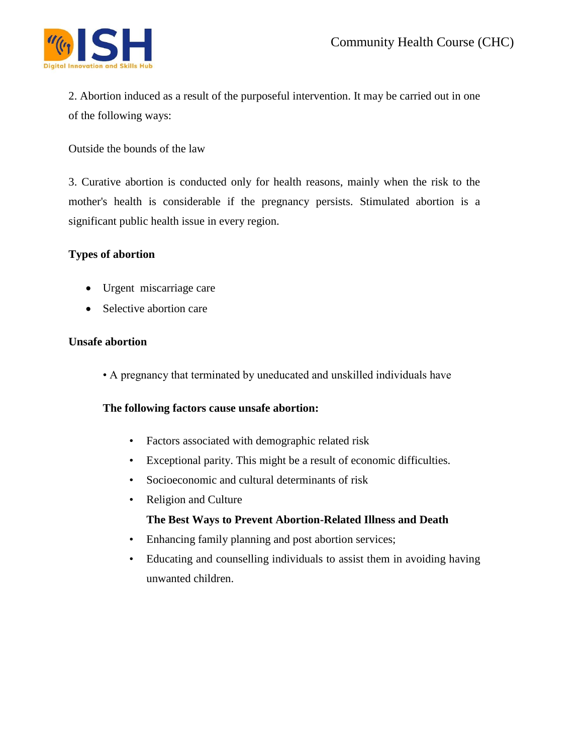

2. Abortion induced as a result of the purposeful intervention. It may be carried out in one of the following ways:

Outside the bounds of the law

3. Curative abortion is conducted only for health reasons, mainly when the risk to the mother's health is considerable if the pregnancy persists. Stimulated abortion is a significant public health issue in every region.

# **Types of abortion**

- Urgent miscarriage care
- Selective abortion care

# **Unsafe abortion**

• A pregnancy that terminated by uneducated and unskilled individuals have

# **The following factors cause unsafe abortion:**

- Factors associated with demographic related risk
- Exceptional parity. This might be a result of economic difficulties.
- Socioeconomic and cultural determinants of risk
- Religion and Culture

# **The Best Ways to Prevent Abortion-Related Illness and Death**

- Enhancing family planning and post abortion services;
- Educating and counselling individuals to assist them in avoiding having unwanted children.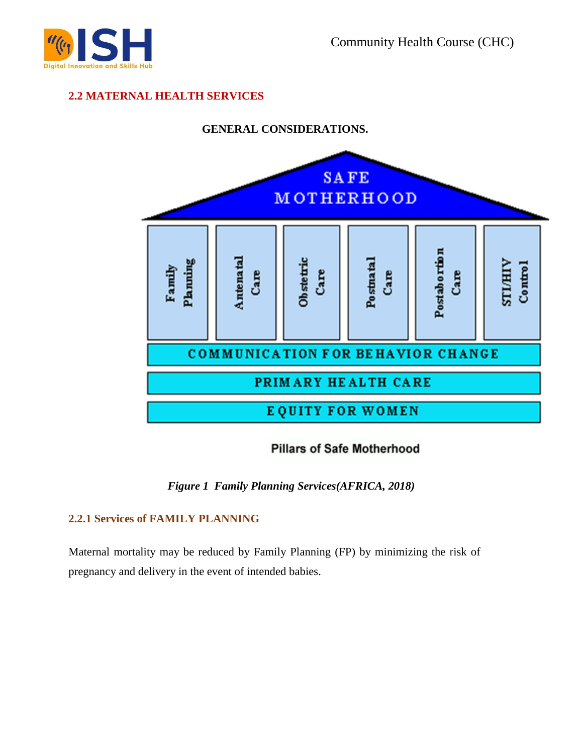

# **2.2 MATERNAL HEALTH SERVICES**



# **Pillars of Safe Motherhood**

*Figure 1 Family Planning Services(AFRICA, 2018)*

# **2.2.1 Services of FAMILY PLANNING**

Maternal mortality may be reduced by Family Planning (FP) by minimizing the risk of pregnancy and delivery in the event of intended babies.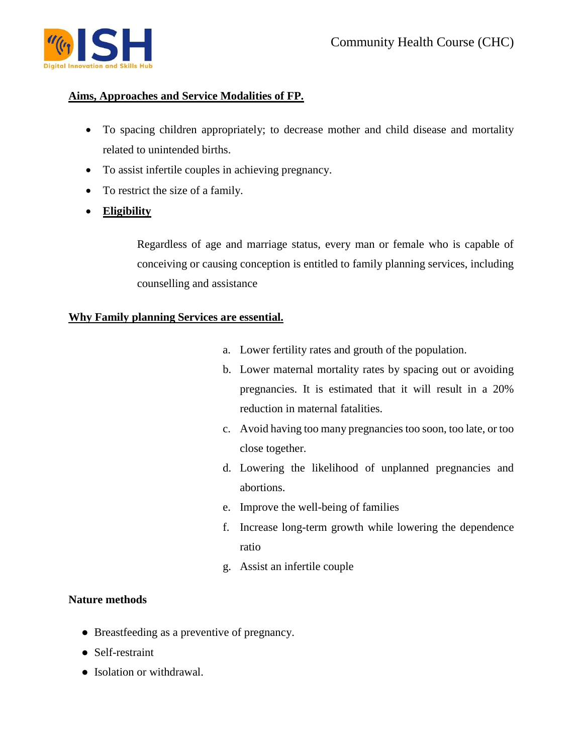

# **Aims, Approaches and Service Modalities of FP.**

- To spacing children appropriately; to decrease mother and child disease and mortality related to unintended births.
- To assist infertile couples in achieving pregnancy.
- To restrict the size of a family.
- **Eligibility**

Regardless of age and marriage status, every man or female who is capable of conceiving or causing conception is entitled to family planning services, including counselling and assistance

# **Why Family planning Services are essential.**

- a. Lower fertility rates and grouth of the population.
- b. Lower maternal mortality rates by spacing out or avoiding pregnancies. It is estimated that it will result in a 20% reduction in maternal fatalities.
- c. Avoid having too many pregnancies too soon, too late, or too close together.
- d. Lowering the likelihood of unplanned pregnancies and abortions.
- e. Improve the well-being of families
- f. Increase long-term growth while lowering the dependence ratio
- g. Assist an infertile couple

# **Nature methods**

- Breastfeeding as a preventive of pregnancy.
- Self-restraint
- Isolation or withdrawal.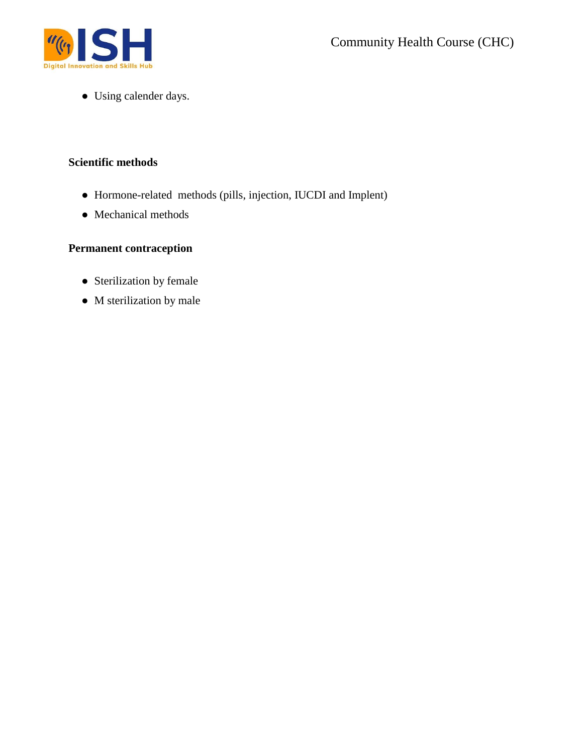

● Using calender days.

# **Scientific methods**

- Hormone-related methods (pills, injection, IUCDI and Implent)
- Mechanical methods

# **Permanent contraception**

- Sterilization by female
- M sterilization by male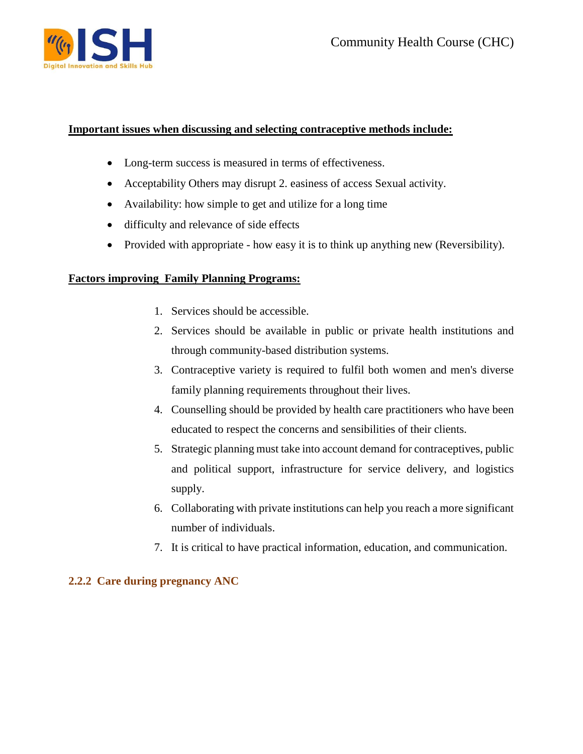

# **Important issues when discussing and selecting contraceptive methods include:**

- Long-term success is measured in terms of effectiveness.
- Acceptability Others may disrupt 2. easiness of access Sexual activity.
- Availability: how simple to get and utilize for a long time
- difficulty and relevance of side effects
- Provided with appropriate how easy it is to think up anything new (Reversibility).

# **Factors improving Family Planning Programs:**

- 1. Services should be accessible.
- 2. Services should be available in public or private health institutions and through community-based distribution systems.
- 3. Contraceptive variety is required to fulfil both women and men's diverse family planning requirements throughout their lives.
- 4. Counselling should be provided by health care practitioners who have been educated to respect the concerns and sensibilities of their clients.
- 5. Strategic planning must take into account demand for contraceptives, public and political support, infrastructure for service delivery, and logistics supply.
- 6. Collaborating with private institutions can help you reach a more significant number of individuals.
- 7. It is critical to have practical information, education, and communication.

# **2.2.2 Care during pregnancy ANC**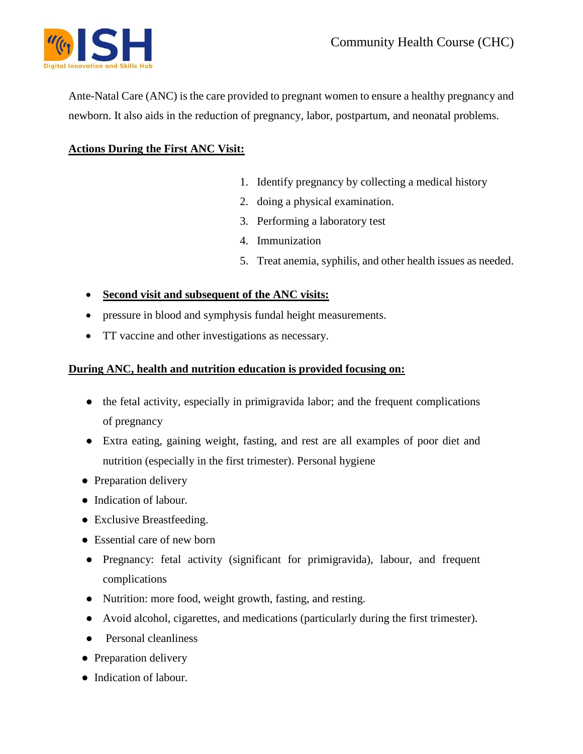

Ante-Natal Care (ANC) is the care provided to pregnant women to ensure a healthy pregnancy and newborn. It also aids in the reduction of pregnancy, labor, postpartum, and neonatal problems.

# **Actions During the First ANC Visit:**

- 1. Identify pregnancy by collecting a medical history
- 2. doing a physical examination.
- 3. Performing a laboratory test
- 4. Immunization
- 5. Treat anemia, syphilis, and other health issues as needed.
- **Second visit and subsequent of the ANC visits:**
- pressure in blood and symphysis fundal height measurements.
- TT vaccine and other investigations as necessary.

# **During ANC, health and nutrition education is provided focusing on:**

- the fetal activity, especially in primigravida labor; and the frequent complications of pregnancy
- Extra eating, gaining weight, fasting, and rest are all examples of poor diet and nutrition (especially in the first trimester). Personal hygiene
- Preparation delivery
- Indication of labour.
- Exclusive Breastfeeding.
- Essential care of new born
- Pregnancy: fetal activity (significant for primigravida), labour, and frequent complications
- Nutrition: more food, weight growth, fasting, and resting.
- Avoid alcohol, cigarettes, and medications (particularly during the first trimester).
- Personal cleanliness
- Preparation delivery
- Indication of labour.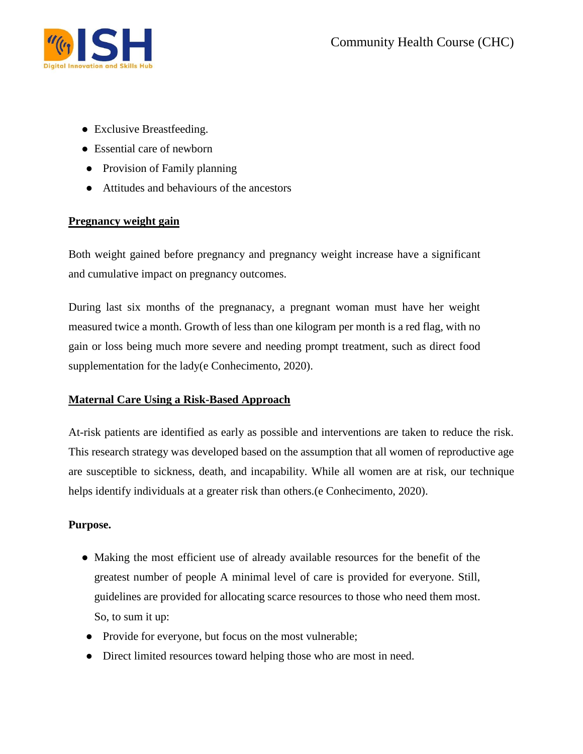

- Exclusive Breastfeeding.
- Essential care of newborn
- Provision of Family planning
- Attitudes and behaviours of the ancestors

# **Pregnancy weight gain**

Both weight gained before pregnancy and pregnancy weight increase have a significant and cumulative impact on pregnancy outcomes.

During last six months of the pregnanacy, a pregnant woman must have her weight measured twice a month. Growth of less than one kilogram per month is a red flag, with no gain or loss being much more severe and needing prompt treatment, such as direct food supplementation for the lady(e Conhecimento, 2020).

# **Maternal Care Using a Risk-Based Approach**

At-risk patients are identified as early as possible and interventions are taken to reduce the risk. This research strategy was developed based on the assumption that all women of reproductive age are susceptible to sickness, death, and incapability. While all women are at risk, our technique helps identify individuals at a greater risk than others. (e Conhecimento, 2020).

# **Purpose.**

- Making the most efficient use of already available resources for the benefit of the greatest number of people A minimal level of care is provided for everyone. Still, guidelines are provided for allocating scarce resources to those who need them most. So, to sum it up:
- Provide for everyone, but focus on the most vulnerable;
- Direct limited resources toward helping those who are most in need.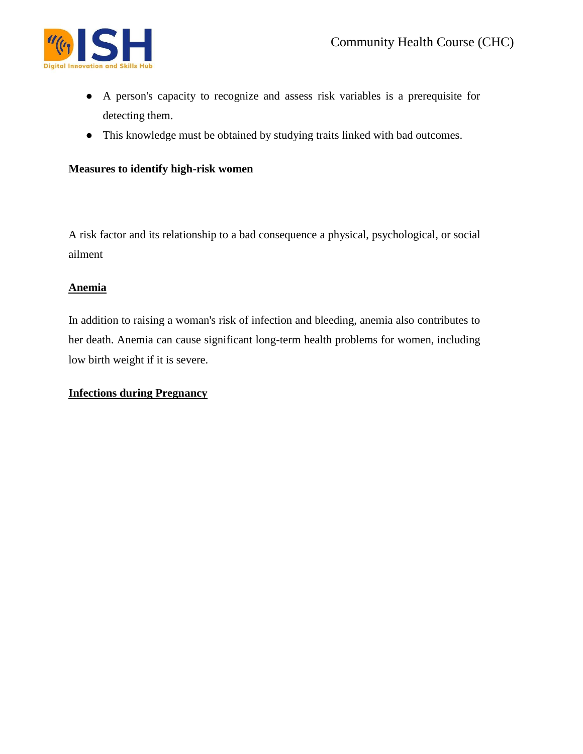

- A person's capacity to recognize and assess risk variables is a prerequisite for detecting them.
- This knowledge must be obtained by studying traits linked with bad outcomes.

#### **Measures to identify high-risk women**

A risk factor and its relationship to a bad consequence a physical, psychological, or social ailment

#### **Anemia**

In addition to raising a woman's risk of infection and bleeding, anemia also contributes to her death. Anemia can cause significant long-term health problems for women, including low birth weight if it is severe.

#### **Infections during Pregnancy**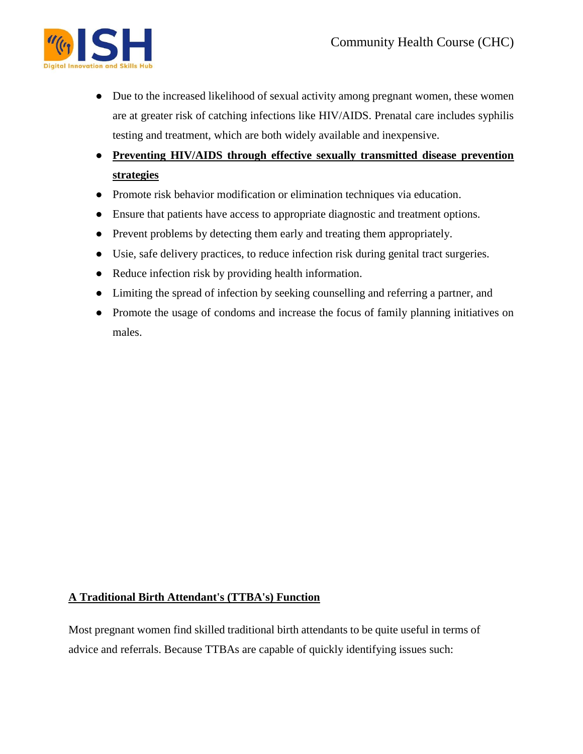

- Due to the increased likelihood of sexual activity among pregnant women, these women are at greater risk of catching infections like HIV/AIDS. Prenatal care includes syphilis testing and treatment, which are both widely available and inexpensive.
- **Preventing HIV/AIDS through effective sexually transmitted disease prevention strategies**
- Promote risk behavior modification or elimination techniques via education.
- Ensure that patients have access to appropriate diagnostic and treatment options.
- Prevent problems by detecting them early and treating them appropriately.
- Usie, safe delivery practices, to reduce infection risk during genital tract surgeries.
- Reduce infection risk by providing health information.
- Limiting the spread of infection by seeking counselling and referring a partner, and
- Promote the usage of condoms and increase the focus of family planning initiatives on males.

# **A Traditional Birth Attendant's (TTBA's) Function**

Most pregnant women find skilled traditional birth attendants to be quite useful in terms of advice and referrals. Because TTBAs are capable of quickly identifying issues such: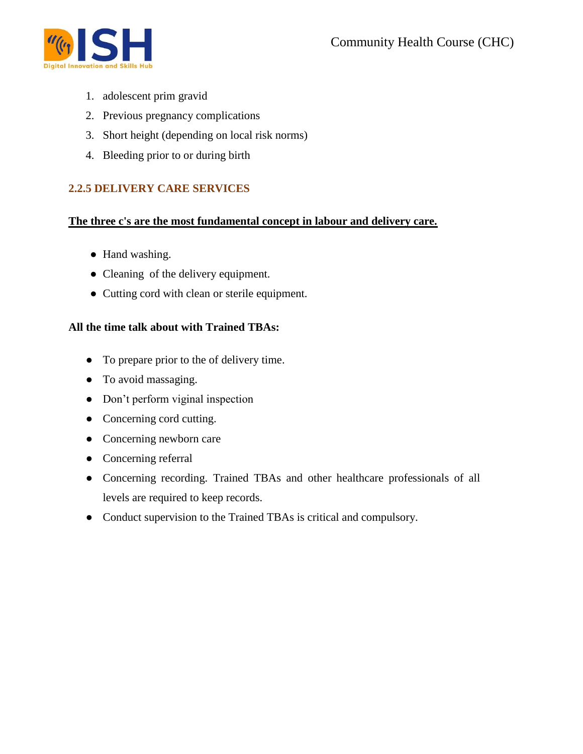

- 1. adolescent prim gravid
- 2. Previous pregnancy complications
- 3. Short height (depending on local risk norms)
- 4. Bleeding prior to or during birth

# **2.2.5 DELIVERY CARE SERVICES**

#### **The three c's are the most fundamental concept in labour and delivery care.**

- Hand washing.
- Cleaning of the delivery equipment.
- Cutting cord with clean or sterile equipment.

# **All the time talk about with Trained TBAs:**

- To prepare prior to the of delivery time.
- To avoid massaging.
- Don't perform viginal inspection
- Concerning cord cutting.
- Concerning newborn care
- Concerning referral
- Concerning recording. Trained TBAs and other healthcare professionals of all levels are required to keep records.
- Conduct supervision to the Trained TBAs is critical and compulsory.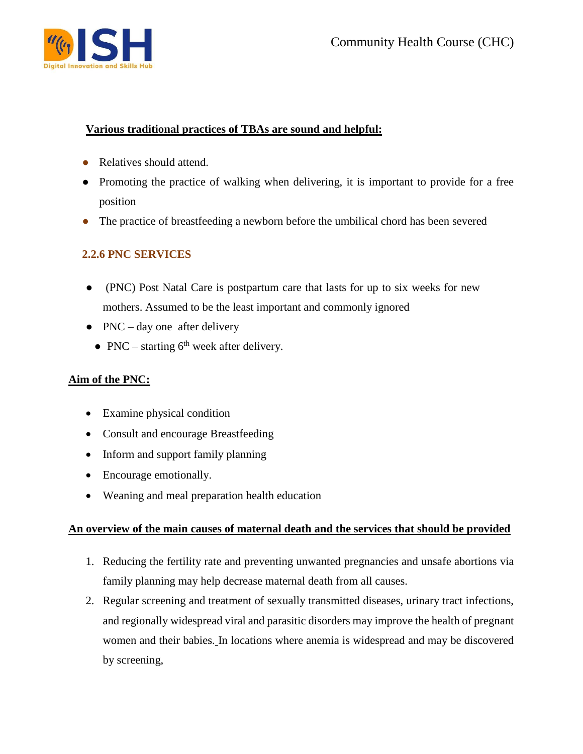

# **Various traditional practices of TBAs are sound and helpful:**

- Relatives should attend.
- Promoting the practice of walking when delivering, it is important to provide for a free position
- The practice of breastfeeding a newborn before the umbilical chord has been severed

# **2.2.6 PNC SERVICES**

- (PNC) Post Natal Care is postpartum care that lasts for up to six weeks for new mothers. Assumed to be the least important and commonly ignored
- $\bullet$  PNC day one after delivery
	- PNC starting  $6<sup>th</sup>$  week after delivery.

# **Aim of the PNC:**

- Examine physical condition
- Consult and encourage Breastfeeding
- Inform and support family planning
- Encourage emotionally.
- Weaning and meal preparation health education

# **An overview of the main causes of maternal death and the services that should be provided**

- 1. Reducing the fertility rate and preventing unwanted pregnancies and unsafe abortions via family planning may help decrease maternal death from all causes.
- 2. Regular screening and treatment of sexually transmitted diseases, urinary tract infections, and regionally widespread viral and parasitic disorders may improve the health of pregnant women and their babies. In locations where anemia is widespread and may be discovered by screening,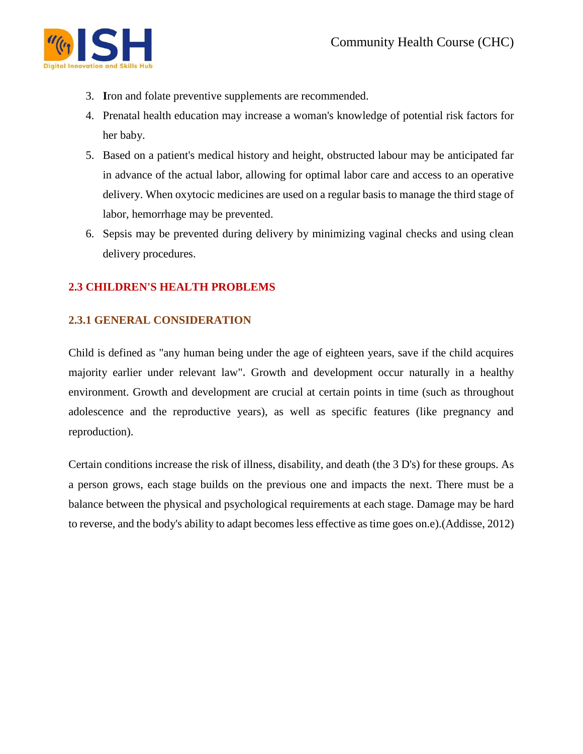

- 3. **I**ron and folate preventive supplements are recommended.
- 4. Prenatal health education may increase a woman's knowledge of potential risk factors for her baby.
- 5. Based on a patient's medical history and height, obstructed labour may be anticipated far in advance of the actual labor, allowing for optimal labor care and access to an operative delivery. When oxytocic medicines are used on a regular basis to manage the third stage of labor, hemorrhage may be prevented.
- 6. Sepsis may be prevented during delivery by minimizing vaginal checks and using clean delivery procedures.

# **2.3 CHILDREN'S HEALTH PROBLEMS**

# **2.3.1 GENERAL CONSIDERATION**

Child is defined as "any human being under the age of eighteen years, save if the child acquires majority earlier under relevant law"**.** Growth and development occur naturally in a healthy environment. Growth and development are crucial at certain points in time (such as throughout adolescence and the reproductive years), as well as specific features (like pregnancy and reproduction).

Certain conditions increase the risk of illness, disability, and death (the 3 D's) for these groups. As a person grows, each stage builds on the previous one and impacts the next. There must be a balance between the physical and psychological requirements at each stage. Damage may be hard to reverse, and the body's ability to adapt becomes less effective as time goes on.e).(Addisse, 2012)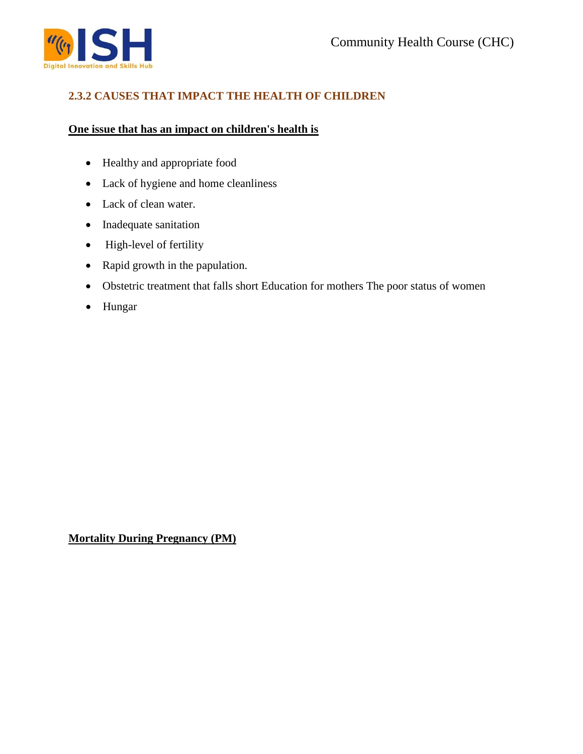

# **2.3.2 CAUSES THAT IMPACT THE HEALTH OF CHILDREN**

#### **One issue that has an impact on children's health is**

- Healthy and appropriate food
- Lack of hygiene and home cleanliness
- Lack of clean water.
- Inadequate sanitation
- High-level of fertility
- Rapid growth in the papulation.
- Obstetric treatment that falls short Education for mothers The poor status of women
- Hungar

**Mortality During Pregnancy (PM)**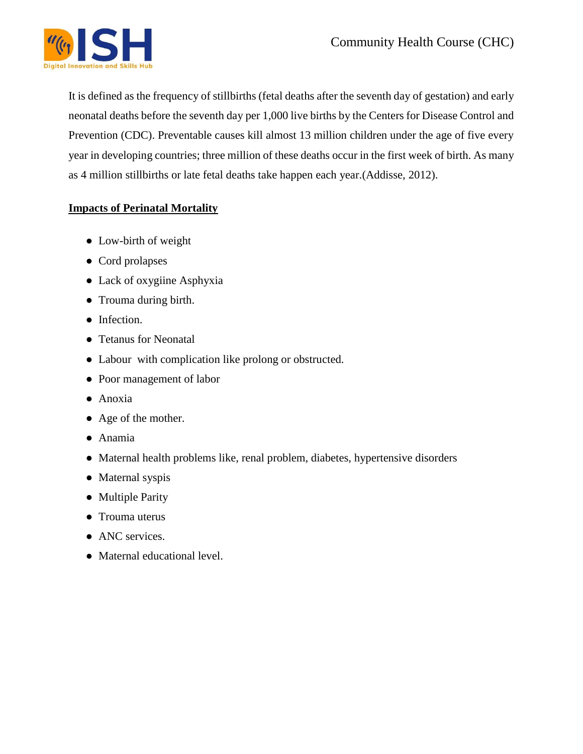

It is defined as the frequency of stillbirths (fetal deaths after the seventh day of gestation) and early neonatal deaths before the seventh day per 1,000 live births by the Centers for Disease Control and Prevention (CDC). Preventable causes kill almost 13 million children under the age of five every year in developing countries; three million of these deaths occur in the first week of birth. As many as 4 million stillbirths or late fetal deaths take happen each year.(Addisse, 2012).

# **Impacts of Perinatal Mortality**

- Low-birth of weight
- Cord prolapses
- Lack of oxygiine Asphyxia
- Trouma during birth.
- Infection.
- Tetanus for Neonatal
- Labour with complication like prolong or obstructed.
- Poor management of labor
- Anoxia
- Age of the mother.
- Anamia
- Maternal health problems like, renal problem, diabetes, hypertensive disorders
- Maternal syspis
- Multiple Parity
- Trouma uterus
- ANC services.
- Maternal educational level.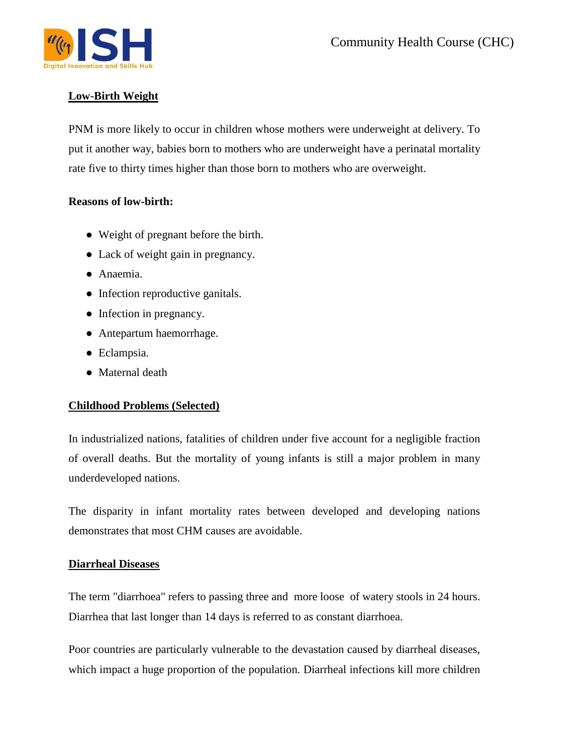

# **Low-Birth Weight**

PNM is more likely to occur in children whose mothers were underweight at delivery. To put it another way, babies born to mothers who are underweight have a perinatal mortality rate five to thirty times higher than those born to mothers who are overweight.

# **Reasons of low-birth:**

- Weight of pregnant before the birth.
- Lack of weight gain in pregnancy.
- Anaemia.
- Infection reproductive ganitals.
- Infection in pregnancy.
- Antepartum haemorrhage.
- Eclampsia.
- Maternal death

# **Childhood Problems (Selected)**

In industrialized nations, fatalities of children under five account for a negligible fraction of overall deaths. But the mortality of young infants is still a major problem in many underdeveloped nations.

The disparity in infant mortality rates between developed and developing nations demonstrates that most CHM causes are avoidable.

# **Diarrheal Diseases**

The term "diarrhoea" refers to passing three and more loose of watery stools in 24 hours. Diarrhea that last longer than 14 days is referred to as constant diarrhoea.

Poor countries are particularly vulnerable to the devastation caused by diarrheal diseases, which impact a huge proportion of the population. Diarrheal infections kill more children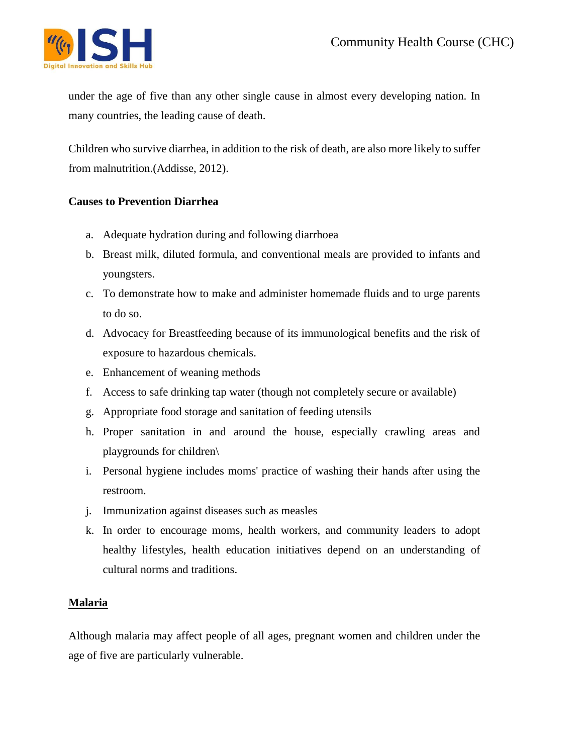

under the age of five than any other single cause in almost every developing nation. In many countries, the leading cause of death.

Children who survive diarrhea, in addition to the risk of death, are also more likely to suffer from malnutrition.(Addisse, 2012).

# **Causes to Prevention Diarrhea**

- a. Adequate hydration during and following diarrhoea
- b. Breast milk, diluted formula, and conventional meals are provided to infants and youngsters.
- c. To demonstrate how to make and administer homemade fluids and to urge parents to do so.
- d. Advocacy for Breastfeeding because of its immunological benefits and the risk of exposure to hazardous chemicals.
- e. Enhancement of weaning methods
- f. Access to safe drinking tap water (though not completely secure or available)
- g. Appropriate food storage and sanitation of feeding utensils
- h. Proper sanitation in and around the house, especially crawling areas and playgrounds for children\
- i. Personal hygiene includes moms' practice of washing their hands after using the restroom.
- j. Immunization against diseases such as measles
- k. In order to encourage moms, health workers, and community leaders to adopt healthy lifestyles, health education initiatives depend on an understanding of cultural norms and traditions.

# **Malaria**

Although malaria may affect people of all ages, pregnant women and children under the age of five are particularly vulnerable.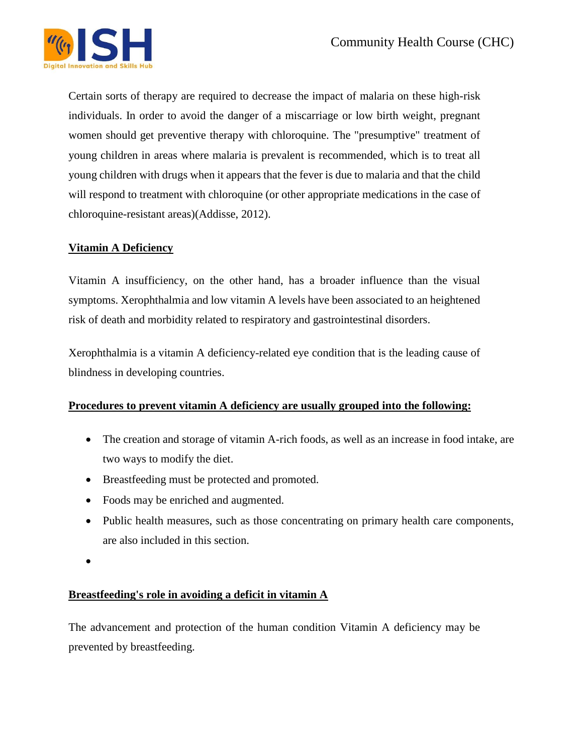

Certain sorts of therapy are required to decrease the impact of malaria on these high-risk individuals. In order to avoid the danger of a miscarriage or low birth weight, pregnant women should get preventive therapy with chloroquine. The "presumptive" treatment of young children in areas where malaria is prevalent is recommended, which is to treat all young children with drugs when it appears that the fever is due to malaria and that the child will respond to treatment with chloroquine (or other appropriate medications in the case of chloroquine-resistant areas)(Addisse, 2012).

# **Vitamin A Deficiency**

Vitamin A insufficiency, on the other hand, has a broader influence than the visual symptoms. Xerophthalmia and low vitamin A levels have been associated to an heightened risk of death and morbidity related to respiratory and gastrointestinal disorders.

Xerophthalmia is a vitamin A deficiency-related eye condition that is the leading cause of blindness in developing countries.

# **Procedures to prevent vitamin A deficiency are usually grouped into the following:**

- The creation and storage of vitamin A-rich foods, as well as an increase in food intake, are two ways to modify the diet.
- Breastfeeding must be protected and promoted.
- Foods may be enriched and augmented.
- Public health measures, such as those concentrating on primary health care components, are also included in this section.
- $\bullet$

# **Breastfeeding's role in avoiding a deficit in vitamin A**

The advancement and protection of the human condition Vitamin A deficiency may be prevented by breastfeeding.